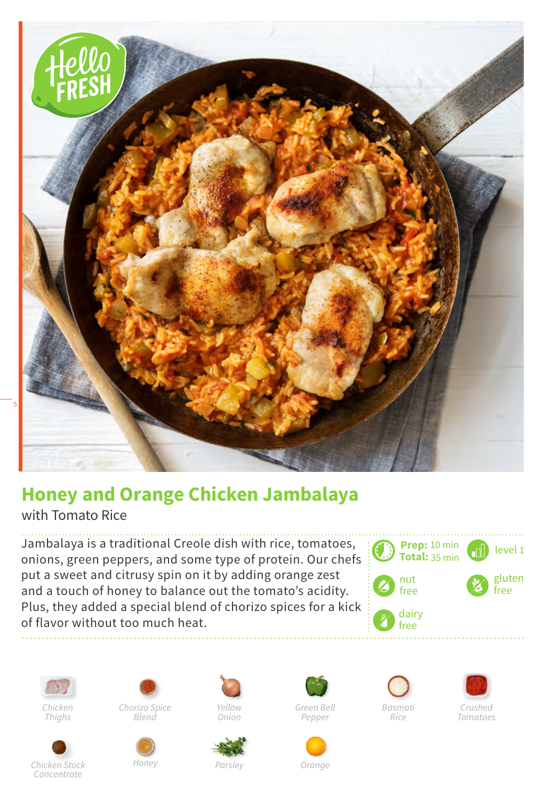

## **Honey and Orange Chicken Jambalaya**

with Tomato Rice

Jambalaya is a traditional Creole dish with rice, tomatoes, onions, green peppers, and some type of protein. Our chefs put a sweet and citrusy spin on it by adding orange zest and a touch of honey to balance out the tomato's acidity. Plus, they added a special blend of chorizo spices for a kick of flavor without too much heat.











*Honey*





*Green Bell Pepper*

*Orange*